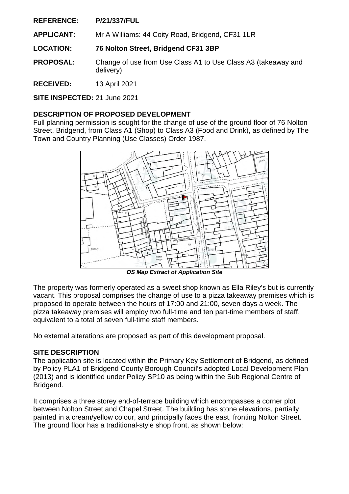**APPLICANT:** Mr A Williams: 44 Coity Road, Bridgend, CF31 1LR

**LOCATION: 76 Nolton Street, Bridgend CF31 3BP** 

- **PROPOSAL:** Change of use from Use Class A1 to Use Class A3 (takeaway and delivery)
- **RECEIVED:** 13 April 2021

**SITE INSPECTED:** 21 June 2021

## **DESCRIPTION OF PROPOSED DEVELOPMENT**

Full planning permission is sought for the change of use of the ground floor of 76 Nolton Street, Bridgend, from Class A1 (Shop) to Class A3 (Food and Drink), as defined by The Town and Country Planning (Use Classes) Order 1987.



*OS Map Extract of Application Site* 

The property was formerly operated as a sweet shop known as Ella Riley's but is currently vacant. This proposal comprises the change of use to a pizza takeaway premises which is proposed to operate between the hours of 17:00 and 21:00, seven days a week. The pizza takeaway premises will employ two full-time and ten part-time members of staff, equivalent to a total of seven full-time staff members.

No external alterations are proposed as part of this development proposal.

### **SITE DESCRIPTION**

The application site is located within the Primary Key Settlement of Bridgend, as defined by Policy PLA1 of Bridgend County Borough Council's adopted Local Development Plan (2013) and is identified under Policy SP10 as being within the Sub Regional Centre of Bridgend.

It comprises a three storey end-of-terrace building which encompasses a corner plot between Nolton Street and Chapel Street. The building has stone elevations, partially painted in a cream/yellow colour, and principally faces the east, fronting Nolton Street. The ground floor has a traditional-style shop front, as shown below: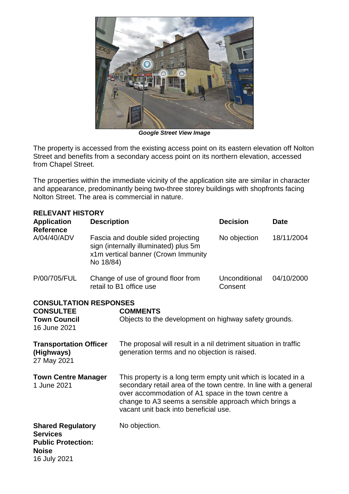

*Google Street View Image* 

The property is accessed from the existing access point on its eastern elevation off Nolton Street and benefits from a secondary access point on its northern elevation, accessed from Chapel Street.

The properties within the immediate vicinity of the application site are similar in character and appearance, predominantly being two-three storey buildings with shopfronts facing Nolton Street. The area is commercial in nature.

| <b>RELEVANT HISTORY</b>                                                                                  |                                                                                                                                 |                                                                                                                                                                                                                                                                                            |                          |             |
|----------------------------------------------------------------------------------------------------------|---------------------------------------------------------------------------------------------------------------------------------|--------------------------------------------------------------------------------------------------------------------------------------------------------------------------------------------------------------------------------------------------------------------------------------------|--------------------------|-------------|
| <b>Application</b>                                                                                       | <b>Description</b>                                                                                                              |                                                                                                                                                                                                                                                                                            | <b>Decision</b>          | <b>Date</b> |
| <b>Reference</b><br>A/04/40/ADV                                                                          | Fascia and double sided projecting<br>sign (internally illuminated) plus 5m<br>x1m vertical banner (Crown Immunity<br>No 18/84) |                                                                                                                                                                                                                                                                                            | No objection             | 18/11/2004  |
| P/00/705/FUL                                                                                             |                                                                                                                                 | Change of use of ground floor from<br>retail to B1 office use                                                                                                                                                                                                                              | Unconditional<br>Consent | 04/10/2000  |
| <b>CONSULTATION RESPONSES</b><br><b>CONSULTEE</b><br><b>Town Council</b><br>16 June 2021                 |                                                                                                                                 | <b>COMMENTS</b><br>Objects to the development on highway safety grounds.                                                                                                                                                                                                                   |                          |             |
| <b>Transportation Officer</b><br>(Highways)<br>27 May 2021                                               |                                                                                                                                 | The proposal will result in a nil detriment situation in traffic<br>generation terms and no objection is raised.                                                                                                                                                                           |                          |             |
| <b>Town Centre Manager</b><br>1 June 2021                                                                |                                                                                                                                 | This property is a long term empty unit which is located in a<br>secondary retail area of the town centre. In line with a general<br>over accommodation of A1 space in the town centre a<br>change to A3 seems a sensible approach which brings a<br>vacant unit back into beneficial use. |                          |             |
| <b>Shared Regulatory</b><br><b>Services</b><br><b>Public Protection:</b><br><b>Noise</b><br>16 July 2021 |                                                                                                                                 | No objection.                                                                                                                                                                                                                                                                              |                          |             |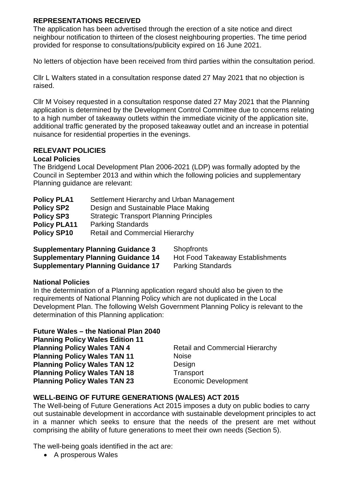### **REPRESENTATIONS RECEIVED**

The application has been advertised through the erection of a site notice and direct neighbour notification to thirteen of the closest neighbouring properties. The time period provided for response to consultations/publicity expired on 16 June 2021.

No letters of objection have been received from third parties within the consultation period.

Cllr L Walters stated in a consultation response dated 27 May 2021 that no objection is raised.

Cllr M Voisey requested in a consultation response dated 27 May 2021 that the Planning application is determined by the Development Control Committee due to concerns relating to a high number of takeaway outlets within the immediate vicinity of the application site, additional traffic generated by the proposed takeaway outlet and an increase in potential nuisance for residential properties in the evenings.

## **RELEVANT POLICIES**

### **Local Policies**

The Bridgend Local Development Plan 2006-2021 (LDP) was formally adopted by the Council in September 2013 and within which the following policies and supplementary Planning guidance are relevant:

| <b>Policy PLA1</b>  | Settlement Hierarchy and Urban Management      |
|---------------------|------------------------------------------------|
| <b>Policy SP2</b>   | Design and Sustainable Place Making            |
| <b>Policy SP3</b>   | <b>Strategic Transport Planning Principles</b> |
| <b>Policy PLA11</b> | <b>Parking Standards</b>                       |
| <b>Policy SP10</b>  | <b>Retail and Commercial Hierarchy</b>         |
|                     |                                                |

**Supplementary Planning Guidance 3** Shopfronts **Supplementary Planning Guidance 14 Hot Food Takeaway Establishments Supplementary Planning Guidance 17 Parking Standards** 

### **National Policies**

In the determination of a Planning application regard should also be given to the requirements of National Planning Policy which are not duplicated in the Local Development Plan. The following Welsh Government Planning Policy is relevant to the determination of this Planning application:

| <b>Retail and Commercial Hierarchy</b> |
|----------------------------------------|
| <b>Noise</b>                           |
| Design                                 |
| Transport                              |
| <b>Economic Development</b>            |
|                                        |

### **WELL-BEING OF FUTURE GENERATIONS (WALES) ACT 2015**

The Well-being of Future Generations Act 2015 imposes a duty on public bodies to carry out sustainable development in accordance with sustainable development principles to act in a manner which seeks to ensure that the needs of the present are met without comprising the ability of future generations to meet their own needs (Section 5).

The well-being goals identified in the act are:

A prosperous Wales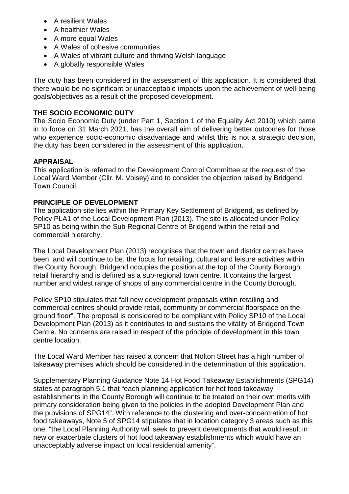- A resilient Wales
- A healthier Wales
- A more equal Wales
- A Wales of cohesive communities
- A Wales of vibrant culture and thriving Welsh language
- A globally responsible Wales

The duty has been considered in the assessment of this application. It is considered that there would be no significant or unacceptable impacts upon the achievement of well-being goals/objectives as a result of the proposed development.

# **THE SOCIO ECONOMIC DUTY**

The Socio Economic Duty (under Part 1, Section 1 of the Equality Act 2010) which came in to force on 31 March 2021, has the overall aim of delivering better outcomes for those who experience socio-economic disadvantage and whilst this is not a strategic decision, the duty has been considered in the assessment of this application.

## **APPRAISAL**

This application is referred to the Development Control Committee at the request of the Local Ward Member (Cllr. M. Voisey) and to consider the objection raised by Bridgend Town Council.

## **PRINCIPLE OF DEVELOPMENT**

The application site lies within the Primary Key Settlement of Bridgend, as defined by Policy PLA1 of the Local Development Plan (2013). The site is allocated under Policy SP10 as being within the Sub Regional Centre of Bridgend within the retail and commercial hierarchy.

The Local Development Plan (2013) recognises that the town and district centres have been, and will continue to be, the focus for retailing, cultural and leisure activities within the County Borough. Bridgend occupies the position at the top of the County Borough retail hierarchy and is defined as a sub-regional town centre. It contains the largest number and widest range of shops of any commercial centre in the County Borough.

Policy SP10 stipulates that "all new development proposals within retailing and commercial centres should provide retail, community or commercial floorspace on the ground floor". The proposal is considered to be compliant with Policy SP10 of the Local Development Plan (2013) as it contributes to and sustains the vitality of Bridgend Town Centre. No concerns are raised in respect of the principle of development in this town centre location.

The Local Ward Member has raised a concern that Nolton Street has a high number of takeaway premises which should be considered in the determination of this application.

Supplementary Planning Guidance Note 14 Hot Food Takeaway Establishments (SPG14) states at paragraph 5.1 that "each planning application for hot food takeaway establishments in the County Borough will continue to be treated on their own merits with primary consideration being given to the policies in the adopted Development Plan and the provisions of SPG14". With reference to the clustering and over-concentration of hot food takeaways, Note 5 of SPG14 stipulates that in location category 3 areas such as this one, "the Local Planning Authority will seek to prevent developments that would result in new or exacerbate clusters of hot food takeaway establishments which would have an unacceptably adverse impact on local residential amenity".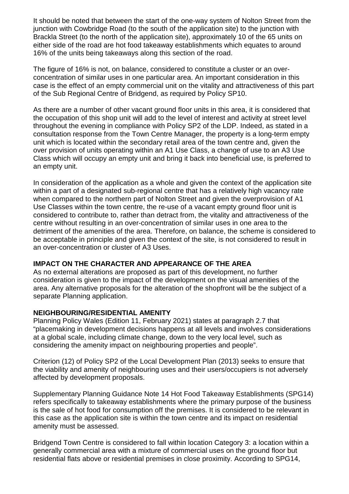It should be noted that between the start of the one-way system of Nolton Street from the junction with Cowbridge Road (to the south of the application site) to the junction with Brackla Street (to the north of the application site), approximately 10 of the 65 units on either side of the road are hot food takeaway establishments which equates to around 16% of the units being takeaways along this section of the road.

The figure of 16% is not, on balance, considered to constitute a cluster or an overconcentration of similar uses in one particular area. An important consideration in this case is the effect of an empty commercial unit on the vitality and attractiveness of this part of the Sub Regional Centre of Bridgend, as required by Policy SP10.

As there are a number of other vacant ground floor units in this area, it is considered that the occupation of this shop unit will add to the level of interest and activity at street level throughout the evening in compliance with Policy SP2 of the LDP. Indeed, as stated in a consultation response from the Town Centre Manager, the property is a long-term empty unit which is located within the secondary retail area of the town centre and, given the over provision of units operating within an A1 Use Class, a change of use to an A3 Use Class which will occupy an empty unit and bring it back into beneficial use, is preferred to an empty unit.

In consideration of the application as a whole and given the context of the application site within a part of a designated sub-regional centre that has a relatively high vacancy rate when compared to the northern part of Nolton Street and given the overprovision of A1 Use Classes within the town centre, the re-use of a vacant empty ground floor unit is considered to contribute to, rather than detract from, the vitality and attractiveness of the centre without resulting in an over-concentration of similar uses in one area to the detriment of the amenities of the area. Therefore, on balance, the scheme is considered to be acceptable in principle and given the context of the site, is not considered to result in an over-concentration or cluster of A3 Uses.

### **IMPACT ON THE CHARACTER AND APPEARANCE OF THE AREA**

As no external alterations are proposed as part of this development, no further consideration is given to the impact of the development on the visual amenities of the area. Any alternative proposals for the alteration of the shopfront will be the subject of a separate Planning application.

### **NEIGHBOURING/RESIDENTIAL AMENITY**

Planning Policy Wales (Edition 11, February 2021) states at paragraph 2.7 that "placemaking in development decisions happens at all levels and involves considerations at a global scale, including climate change, down to the very local level, such as considering the amenity impact on neighbouring properties and people".

Criterion (12) of Policy SP2 of the Local Development Plan (2013) seeks to ensure that the viability and amenity of neighbouring uses and their users/occupiers is not adversely affected by development proposals.

Supplementary Planning Guidance Note 14 Hot Food Takeaway Establishments (SPG14) refers specifically to takeaway establishments where the primary purpose of the business is the sale of hot food for consumption off the premises. It is considered to be relevant in this case as the application site is within the town centre and its impact on residential amenity must be assessed.

Bridgend Town Centre is considered to fall within location Category 3: a location within a generally commercial area with a mixture of commercial uses on the ground floor but residential flats above or residential premises in close proximity. According to SPG14,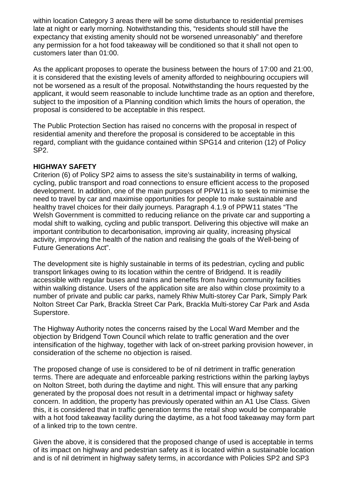within location Category 3 areas there will be some disturbance to residential premises late at night or early morning. Notwithstanding this, "residents should still have the expectancy that existing amenity should not be worsened unreasonably" and therefore any permission for a hot food takeaway will be conditioned so that it shall not open to customers later than 01:00.

As the applicant proposes to operate the business between the hours of 17:00 and 21:00, it is considered that the existing levels of amenity afforded to neighbouring occupiers will not be worsened as a result of the proposal. Notwithstanding the hours requested by the applicant, it would seem reasonable to include lunchtime trade as an option and therefore, subject to the imposition of a Planning condition which limits the hours of operation, the proposal is considered to be acceptable in this respect.

The Public Protection Section has raised no concerns with the proposal in respect of residential amenity and therefore the proposal is considered to be acceptable in this regard, compliant with the guidance contained within SPG14 and criterion (12) of Policy SP2.

### **HIGHWAY SAFETY**

Criterion (6) of Policy SP2 aims to assess the site's sustainability in terms of walking, cycling, public transport and road connections to ensure efficient access to the proposed development. In addition, one of the main purposes of PPW11 is to seek to minimise the need to travel by car and maximise opportunities for people to make sustainable and healthy travel choices for their daily journeys. Paragraph 4.1.9 of PPW11 states "The Welsh Government is committed to reducing reliance on the private car and supporting a modal shift to walking, cycling and public transport. Delivering this objective will make an important contribution to decarbonisation, improving air quality, increasing physical activity, improving the health of the nation and realising the goals of the Well-being of Future Generations Act".

The development site is highly sustainable in terms of its pedestrian, cycling and public transport linkages owing to its location within the centre of Bridgend. It is readily accessible with regular buses and trains and benefits from having community facilities within walking distance. Users of the application site are also within close proximity to a number of private and public car parks, namely Rhiw Multi-storey Car Park, Simply Park Nolton Street Car Park, Brackla Street Car Park, Brackla Multi-storey Car Park and Asda Superstore.

The Highway Authority notes the concerns raised by the Local Ward Member and the objection by Bridgend Town Council which relate to traffic generation and the over intensification of the highway, together with lack of on-street parking provision however, in consideration of the scheme no objection is raised.

The proposed change of use is considered to be of nil detriment in traffic generation terms. There are adequate and enforceable parking restrictions within the parking laybys on Nolton Street, both during the daytime and night. This will ensure that any parking generated by the proposal does not result in a detrimental impact or highway safety concern. In addition, the property has previously operated within an A1 Use Class. Given this, it is considered that in traffic generation terms the retail shop would be comparable with a hot food takeaway facility during the daytime, as a hot food takeaway may form part of a linked trip to the town centre.

Given the above, it is considered that the proposed change of used is acceptable in terms of its impact on highway and pedestrian safety as it is located within a sustainable location and is of nil detriment in highway safety terms, in accordance with Policies SP2 and SP3